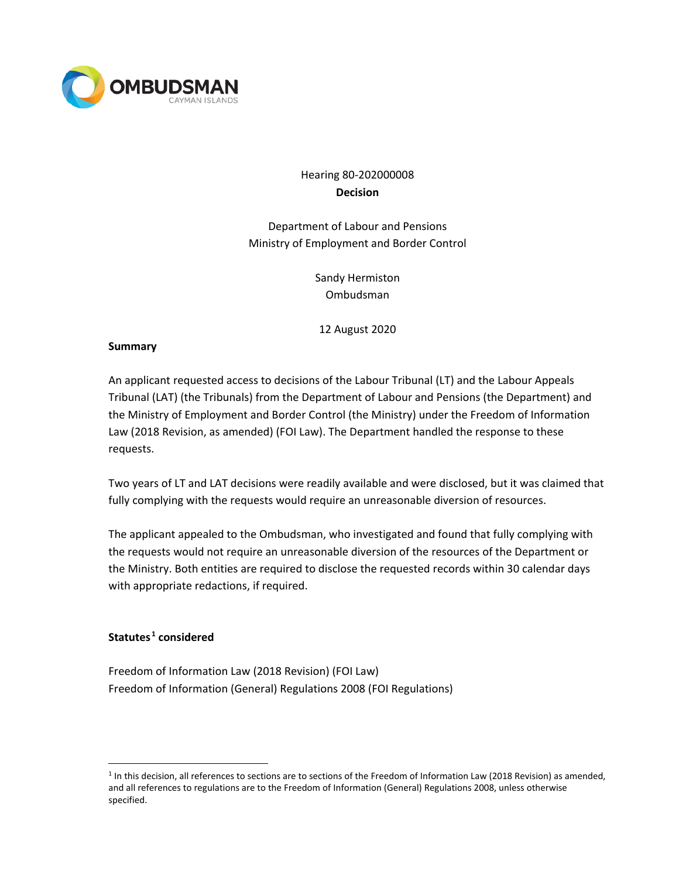

# Hearing 80-202000008 **Decision**

Department of Labour and Pensions Ministry of Employment and Border Control

> Sandy Hermiston Ombudsman

12 August 2020

#### **Summary**

An applicant requested access to decisions of the Labour Tribunal (LT) and the Labour Appeals Tribunal (LAT) (the Tribunals) from the Department of Labour and Pensions (the Department) and the Ministry of Employment and Border Control (the Ministry) under the Freedom of Information Law (2018 Revision, as amended) (FOI Law). The Department handled the response to these requests.

Two years of LT and LAT decisions were readily available and were disclosed, but it was claimed that fully complying with the requests would require an unreasonable diversion of resources.

The applicant appealed to the Ombudsman, who investigated and found that fully complying with the requests would not require an unreasonable diversion of the resources of the Department or the Ministry. Both entities are required to disclose the requested records within 30 calendar days with appropriate redactions, if required.

## **Statutes [1](#page-0-0) considered**

Freedom of Information Law (2018 Revision) (FOI Law) Freedom of Information (General) Regulations 2008 (FOI Regulations)

<span id="page-0-0"></span> $1$  In this decision, all references to sections are to sections of the Freedom of Information Law (2018 Revision) as amended, and all references to regulations are to the Freedom of Information (General) Regulations 2008, unless otherwise specified.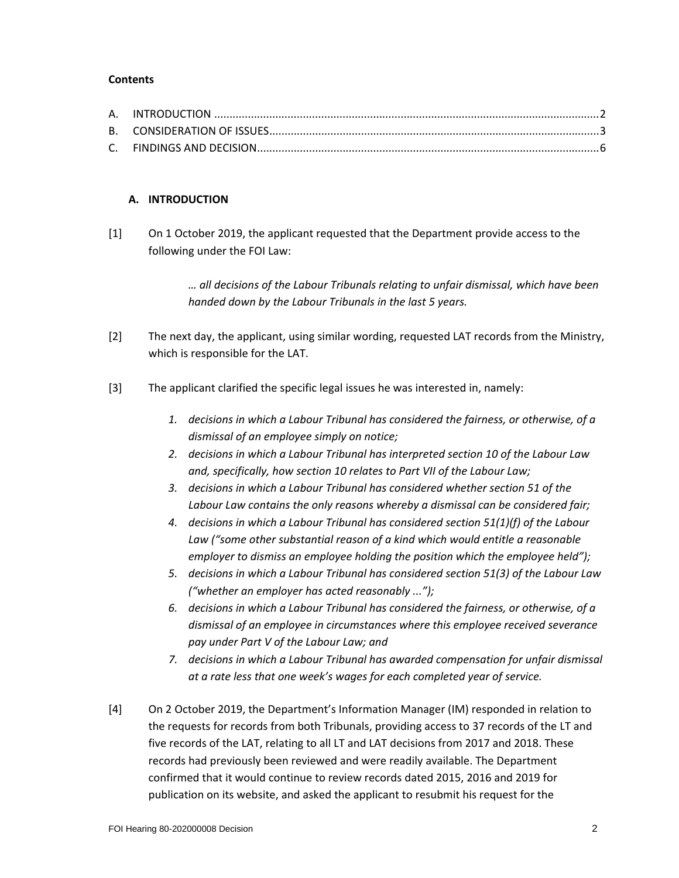#### **Contents**

## **A. INTRODUCTION**

[1] On 1 October 2019, the applicant requested that the Department provide access to the following under the FOI Law:

> *… all decisions of the Labour Tribunals relating to unfair dismissal, which have been handed down by the Labour Tribunals in the last 5 years.*

- [2] The next day, the applicant, using similar wording, requested LAT records from the Ministry, which is responsible for the LAT.
- [3] The applicant clarified the specific legal issues he was interested in, namely:
	- *1. decisions in which a Labour Tribunal has considered the fairness, or otherwise, of a dismissal of an employee simply on notice;*
	- *2. decisions in which a Labour Tribunal has interpreted section 10 of the Labour Law and, specifically, how section 10 relates to Part VII of the Labour Law;*
	- *3. decisions in which a Labour Tribunal has considered whether section 51 of the Labour Law contains the only reasons whereby a dismissal can be considered fair;*
	- *4. decisions in which a Labour Tribunal has considered section 51(1)(f) of the Labour Law ("some other substantial reason of a kind which would entitle a reasonable employer to dismiss an employee holding the position which the employee held");*
	- *5. decisions in which a Labour Tribunal has considered section 51(3) of the Labour Law ("whether an employer has acted reasonably ...");*
	- *6. decisions in which a Labour Tribunal has considered the fairness, or otherwise, of a dismissal of an employee in circumstances where this employee received severance pay under Part V of the Labour Law; and*
	- *7. decisions in which a Labour Tribunal has awarded compensation for unfair dismissal at a rate less that one week's wages for each completed year of service.*
- [4] On 2 October 2019, the Department's Information Manager (IM) responded in relation to the requests for records from both Tribunals, providing access to 37 records of the LT and five records of the LAT, relating to all LT and LAT decisions from 2017 and 2018. These records had previously been reviewed and were readily available. The Department confirmed that it would continue to review records dated 2015, 2016 and 2019 for publication on its website, and asked the applicant to resubmit his request for the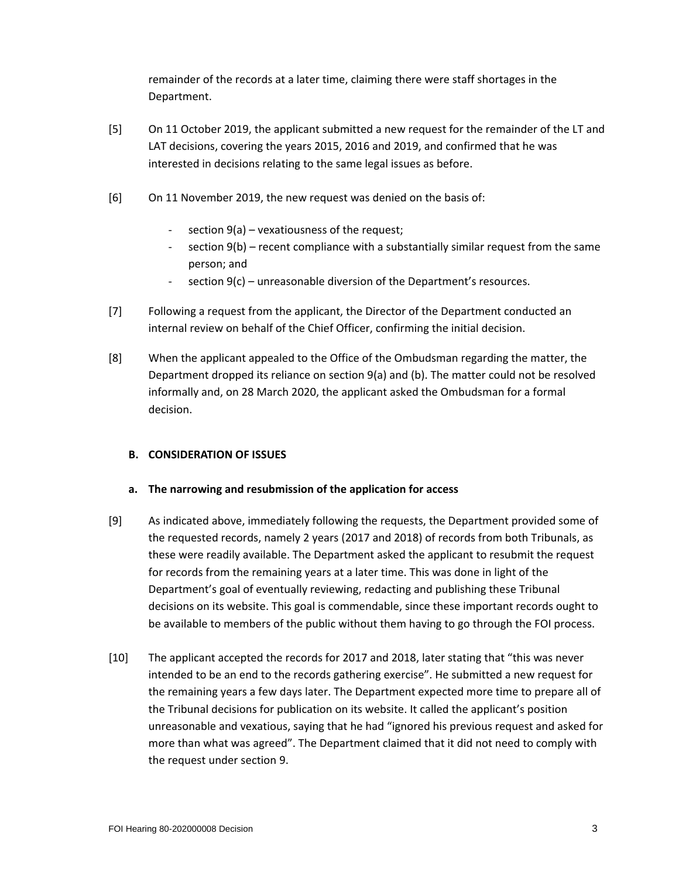remainder of the records at a later time, claiming there were staff shortages in the Department.

- [5] On 11 October 2019, the applicant submitted a new request for the remainder of the LT and LAT decisions, covering the years 2015, 2016 and 2019, and confirmed that he was interested in decisions relating to the same legal issues as before.
- [6] On 11 November 2019, the new request was denied on the basis of:
	- section 9(a) vexatiousness of the request;
	- section  $9(b)$  recent compliance with a substantially similar request from the same person; and
	- section  $9(c)$  unreasonable diversion of the Department's resources.
- [7] Following a request from the applicant, the Director of the Department conducted an internal review on behalf of the Chief Officer, confirming the initial decision.
- [8] When the applicant appealed to the Office of the Ombudsman regarding the matter, the Department dropped its reliance on section 9(a) and (b). The matter could not be resolved informally and, on 28 March 2020, the applicant asked the Ombudsman for a formal decision.

## **B. CONSIDERATION OF ISSUES**

#### **a. The narrowing and resubmission of the application for access**

- [9] As indicated above, immediately following the requests, the Department provided some of the requested records, namely 2 years (2017 and 2018) of records from both Tribunals, as these were readily available. The Department asked the applicant to resubmit the request for records from the remaining years at a later time. This was done in light of the Department's goal of eventually reviewing, redacting and publishing these Tribunal decisions on its website. This goal is commendable, since these important records ought to be available to members of the public without them having to go through the FOI process.
- [10] The applicant accepted the records for 2017 and 2018, later stating that "this was never intended to be an end to the records gathering exercise". He submitted a new request for the remaining years a few days later. The Department expected more time to prepare all of the Tribunal decisions for publication on its website. It called the applicant's position unreasonable and vexatious, saying that he had "ignored his previous request and asked for more than what was agreed". The Department claimed that it did not need to comply with the request under section 9.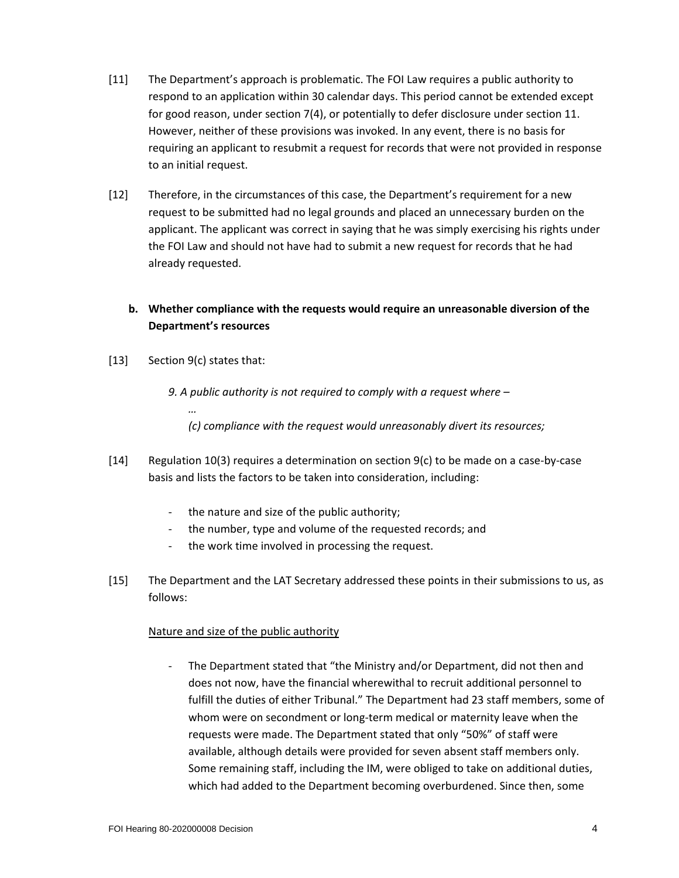- [11] The Department's approach is problematic. The FOI Law requires a public authority to respond to an application within 30 calendar days. This period cannot be extended except for good reason, under section 7(4), or potentially to defer disclosure under section 11. However, neither of these provisions was invoked. In any event, there is no basis for requiring an applicant to resubmit a request for records that were not provided in response to an initial request.
- [12] Therefore, in the circumstances of this case, the Department's requirement for a new request to be submitted had no legal grounds and placed an unnecessary burden on the applicant. The applicant was correct in saying that he was simply exercising his rights under the FOI Law and should not have had to submit a new request for records that he had already requested.
	- **b. Whether compliance with the requests would require an unreasonable diversion of the Department's resources**
- [13] Section 9(c) states that:

*…*

- *9. A public authority is not required to comply with a request where –*
	- *(c) compliance with the request would unreasonably divert its resources;*
- [14] Regulation 10(3) requires a determination on section 9(c) to be made on a case-by-case basis and lists the factors to be taken into consideration, including:
	- the nature and size of the public authority;
	- the number, type and volume of the requested records; and
	- the work time involved in processing the request.
- [15] The Department and the LAT Secretary addressed these points in their submissions to us, as follows:

## Nature and size of the public authority

The Department stated that "the Ministry and/or Department, did not then and does not now, have the financial wherewithal to recruit additional personnel to fulfill the duties of either Tribunal." The Department had 23 staff members, some of whom were on secondment or long-term medical or maternity leave when the requests were made. The Department stated that only "50%" of staff were available, although details were provided for seven absent staff members only. Some remaining staff, including the IM, were obliged to take on additional duties, which had added to the Department becoming overburdened. Since then, some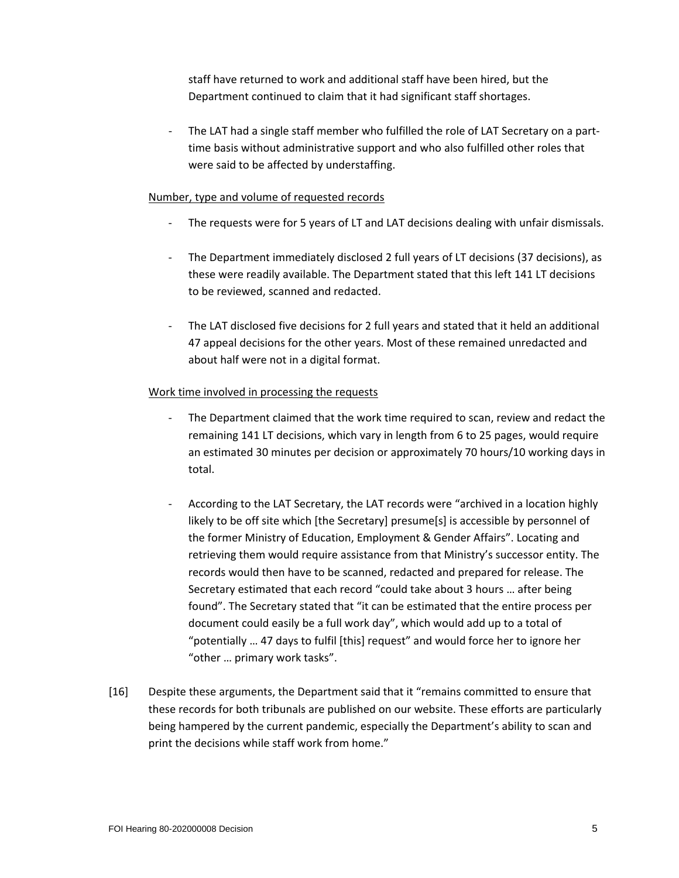staff have returned to work and additional staff have been hired, but the Department continued to claim that it had significant staff shortages.

- The LAT had a single staff member who fulfilled the role of LAT Secretary on a parttime basis without administrative support and who also fulfilled other roles that were said to be affected by understaffing.

## Number, type and volume of requested records

- The requests were for 5 years of LT and LAT decisions dealing with unfair dismissals.
- The Department immediately disclosed 2 full years of LT decisions (37 decisions), as these were readily available. The Department stated that this left 141 LT decisions to be reviewed, scanned and redacted.
- The LAT disclosed five decisions for 2 full years and stated that it held an additional 47 appeal decisions for the other years. Most of these remained unredacted and about half were not in a digital format.

#### Work time involved in processing the requests

- The Department claimed that the work time required to scan, review and redact the remaining 141 LT decisions, which vary in length from 6 to 25 pages, would require an estimated 30 minutes per decision or approximately 70 hours/10 working days in total.
- According to the LAT Secretary, the LAT records were "archived in a location highly likely to be off site which [the Secretary] presume[s] is accessible by personnel of the former Ministry of Education, Employment & Gender Affairs". Locating and retrieving them would require assistance from that Ministry's successor entity. The records would then have to be scanned, redacted and prepared for release. The Secretary estimated that each record "could take about 3 hours … after being found". The Secretary stated that "it can be estimated that the entire process per document could easily be a full work day", which would add up to a total of "potentially … 47 days to fulfil [this] request" and would force her to ignore her "other … primary work tasks".
- [16] Despite these arguments, the Department said that it "remains committed to ensure that these records for both tribunals are published on our website. These efforts are particularly being hampered by the current pandemic, especially the Department's ability to scan and print the decisions while staff work from home."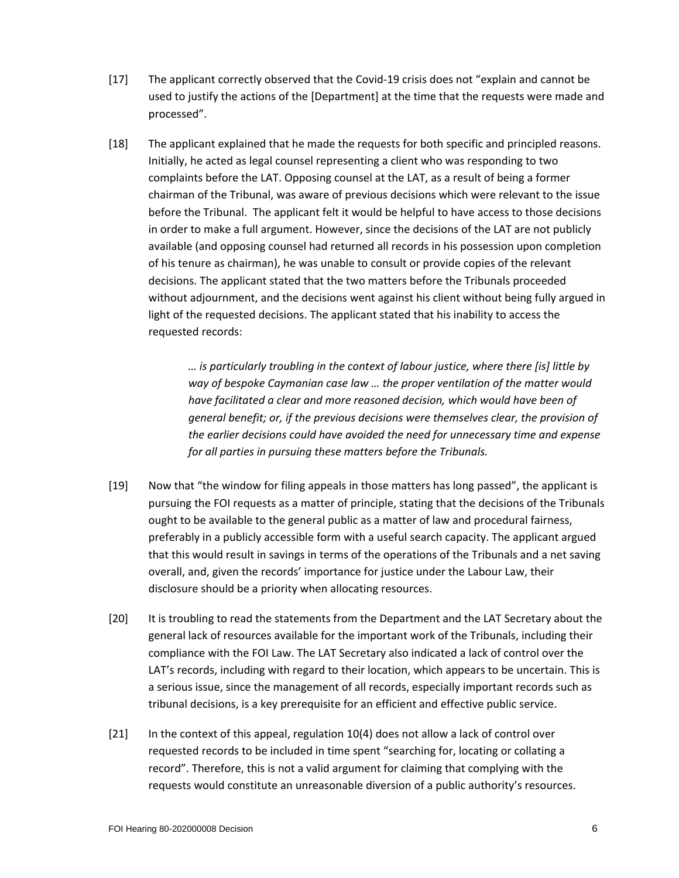- [17] The applicant correctly observed that the Covid-19 crisis does not "explain and cannot be used to justify the actions of the [Department] at the time that the requests were made and processed".
- [18] The applicant explained that he made the requests for both specific and principled reasons. Initially, he acted as legal counsel representing a client who was responding to two complaints before the LAT. Opposing counsel at the LAT, as a result of being a former chairman of the Tribunal, was aware of previous decisions which were relevant to the issue before the Tribunal. The applicant felt it would be helpful to have access to those decisions in order to make a full argument. However, since the decisions of the LAT are not publicly available (and opposing counsel had returned all records in his possession upon completion of his tenure as chairman), he was unable to consult or provide copies of the relevant decisions. The applicant stated that the two matters before the Tribunals proceeded without adjournment, and the decisions went against his client without being fully argued in light of the requested decisions. The applicant stated that his inability to access the requested records:

*… is particularly troubling in the context of labour justice, where there [is] little by way of bespoke Caymanian case law … the proper ventilation of the matter would have facilitated a clear and more reasoned decision, which would have been of general benefit; or, if the previous decisions were themselves clear, the provision of the earlier decisions could have avoided the need for unnecessary time and expense for all parties in pursuing these matters before the Tribunals.*

- [19] Now that "the window for filing appeals in those matters has long passed", the applicant is pursuing the FOI requests as a matter of principle, stating that the decisions of the Tribunals ought to be available to the general public as a matter of law and procedural fairness, preferably in a publicly accessible form with a useful search capacity. The applicant argued that this would result in savings in terms of the operations of the Tribunals and a net saving overall, and, given the records' importance for justice under the Labour Law, their disclosure should be a priority when allocating resources.
- [20] It is troubling to read the statements from the Department and the LAT Secretary about the general lack of resources available for the important work of the Tribunals, including their compliance with the FOI Law. The LAT Secretary also indicated a lack of control over the LAT's records, including with regard to their location, which appears to be uncertain. This is a serious issue, since the management of all records, especially important records such as tribunal decisions, is a key prerequisite for an efficient and effective public service.
- [21] In the context of this appeal, regulation 10(4) does not allow a lack of control over requested records to be included in time spent "searching for, locating or collating a record". Therefore, this is not a valid argument for claiming that complying with the requests would constitute an unreasonable diversion of a public authority's resources.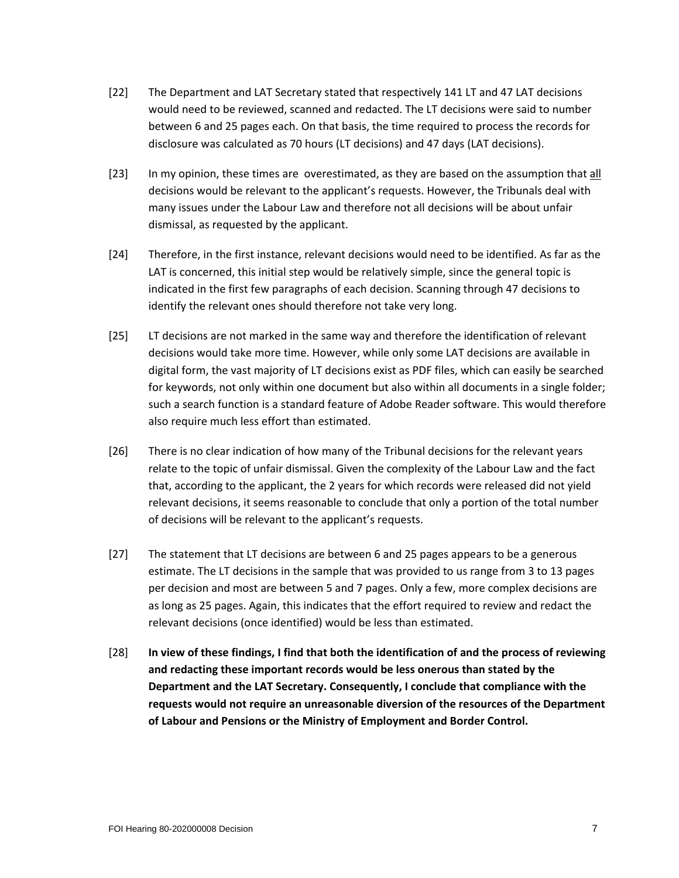- [22] The Department and LAT Secretary stated that respectively 141 LT and 47 LAT decisions would need to be reviewed, scanned and redacted. The LT decisions were said to number between 6 and 25 pages each. On that basis, the time required to process the records for disclosure was calculated as 70 hours (LT decisions) and 47 days (LAT decisions).
- [23] In my opinion, these times are overestimated, as they are based on the assumption that all decisions would be relevant to the applicant's requests. However, the Tribunals deal with many issues under the Labour Law and therefore not all decisions will be about unfair dismissal, as requested by the applicant.
- [24] Therefore, in the first instance, relevant decisions would need to be identified. As far as the LAT is concerned, this initial step would be relatively simple, since the general topic is indicated in the first few paragraphs of each decision. Scanning through 47 decisions to identify the relevant ones should therefore not take very long.
- [25] LT decisions are not marked in the same way and therefore the identification of relevant decisions would take more time. However, while only some LAT decisions are available in digital form, the vast majority of LT decisions exist as PDF files, which can easily be searched for keywords, not only within one document but also within all documents in a single folder; such a search function is a standard feature of Adobe Reader software. This would therefore also require much less effort than estimated.
- [26] There is no clear indication of how many of the Tribunal decisions for the relevant years relate to the topic of unfair dismissal. Given the complexity of the Labour Law and the fact that, according to the applicant, the 2 years for which records were released did not yield relevant decisions, it seems reasonable to conclude that only a portion of the total number of decisions will be relevant to the applicant's requests.
- [27] The statement that LT decisions are between 6 and 25 pages appears to be a generous estimate. The LT decisions in the sample that was provided to us range from 3 to 13 pages per decision and most are between 5 and 7 pages. Only a few, more complex decisions are as long as 25 pages. Again, this indicates that the effort required to review and redact the relevant decisions (once identified) would be less than estimated.
- [28] **In view of these findings, I find that both the identification of and the process of reviewing and redacting these important records would be less onerous than stated by the Department and the LAT Secretary. Consequently, I conclude that compliance with the requests would not require an unreasonable diversion of the resources of the Department of Labour and Pensions or the Ministry of Employment and Border Control.**